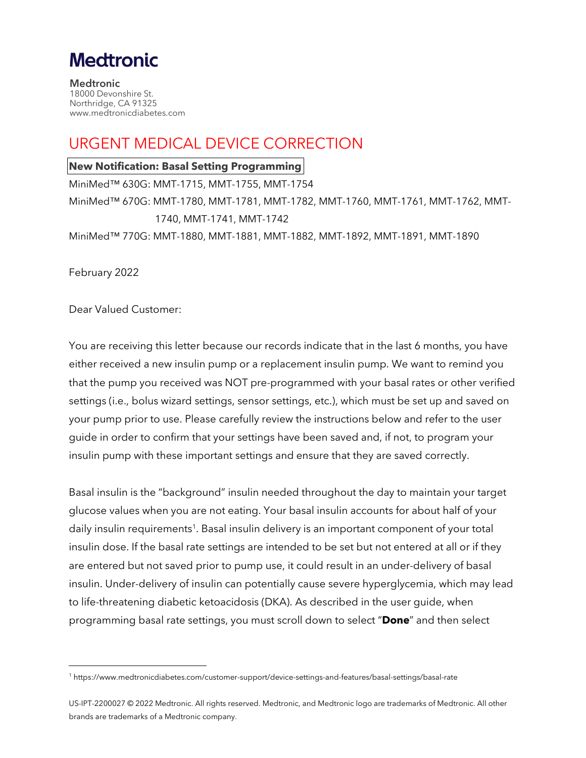# **Medtronic**

**Medtronic** 18000 Devonshire St. Northridge, CA 91325 www.medtronicdiabetes.com

# URGENT MEDICAL DEVICE CORRECTION

#### **New Notification: Basal Setting Programming**

MiniMed™ 630G: MMT-1715, MMT-1755, MMT-1754 MiniMed™ 670G: MMT-1780, MMT-1781, MMT-1782, MMT-1760, MMT-1761, MMT-1762, MMT-1740, MMT-1741, MMT-1742 MiniMed™ 770G: MMT-1880, MMT-1881, MMT-1882, MMT-1892, MMT-1891, MMT-1890

February 2022

Dear Valued Customer:

You are receiving this letter because our records indicate that in the last 6 months, you have either received a new insulin pump or a replacement insulin pump. We want to remind you that the pump you received was NOT pre-programmed with your basal rates or other verified settings (i.e., bolus wizard settings, sensor settings, etc.), which must be set up and saved on your pump prior to use. Please carefully review the instructions below and refer to the user guide in order to confirm that your settings have been saved and, if not, to program your insulin pump with these important settings and ensure that they are saved correctly.

Basal insulin is the "background" insulin needed throughout the day to maintain your target glucose values when you are not eating. Your basal insulin accounts for about half of your daily insulin requirements<sup>1</sup>. Basal insulin delivery is an important component of your total insulin dose. If the basal rate settings are intended to be set but not entered at all or if they are entered but not saved prior to pump use, it could result in an under-delivery of basal insulin. Under-delivery of insulin can potentially cause severe hyperglycemia, which may lead to life-threatening diabetic ketoacidosis (DKA). As described in the user guide, when programming basal rate settings, you must scroll down to select "**Done**" and then select

<sup>1</sup> https://www.medtronicdiabetes.com/customer-support/device-settings-and-features/basal-settings/basal-rate

US-IPT-2200027 © 2022 Medtronic. All rights reserved. Medtronic, and Medtronic logo are trademarks of Medtronic. All other brands are trademarks of a Medtronic company.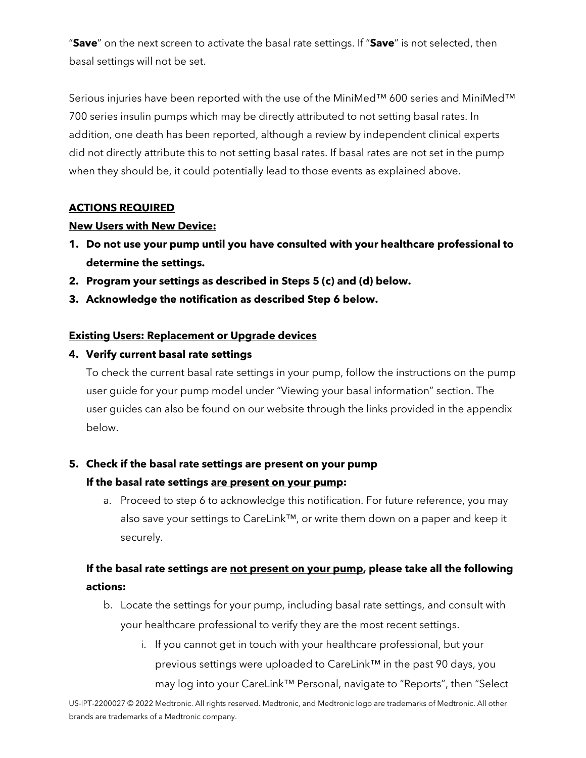"**Save**" on the next screen to activate the basal rate settings. If "**Save**" is not selected, then basal settings will not be set.

Serious injuries have been reported with the use of the MiniMed™ 600 series and MiniMed™ 700 series insulin pumps which may be directly attributed to not setting basal rates. In addition, one death has been reported, although a review by independent clinical experts did not directly attribute this to not setting basal rates. If basal rates are not set in the pump when they should be, it could potentially lead to those events as explained above.

#### **ACTIONS REQUIRED**

#### **New Users with New Device:**

- **1. Do not use your pump until you have consulted with your healthcare professional to determine the settings.**
- **2. Program your settings as described in Steps 5 (c) and (d) below.**
- **3. Acknowledge the notification as described Step 6 below.**

#### **Existing Users: Replacement or Upgrade devices**

#### **4. Verify current basal rate settings**

To check the current basal rate settings in your pump, follow the instructions on the pump user guide for your pump model under "Viewing your basal information" section. The user guides can also be found on our website through the links provided in the appendix below.

#### **5. Check if the basal rate settings are present on your pump**

#### **If the basal rate settings are present on your pump:**

a. Proceed to step 6 to acknowledge this notification. For future reference, you may also save your settings to CareLink™, or write them down on a paper and keep it securely.

### **If the basal rate settings are not present on your pump, please take all the following actions:**

- b. Locate the settings for your pump, including basal rate settings, and consult with your healthcare professional to verify they are the most recent settings.
	- i. If you cannot get in touch with your healthcare professional, but your previous settings were uploaded to CareLink™ in the past 90 days, you may log into your CareLink™ Personal, navigate to "Reports", then "Select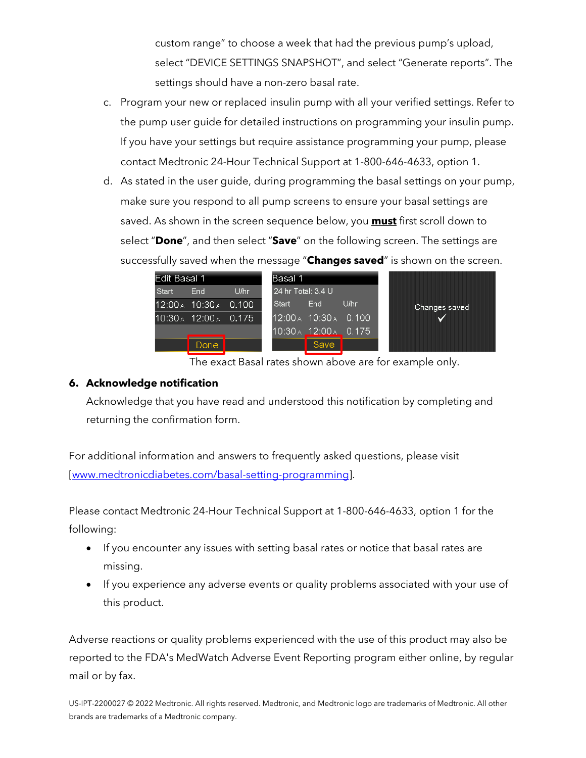custom range" to choose a week that had the previous pump's upload, select "DEVICE SETTINGS SNAPSHOT", and select "Generate reports". The settings should have a non-zero basal rate.

- c. Program your new or replaced insulin pump with all your verified settings. Refer to the pump user guide for detailed instructions on programming your insulin pump. If you have your settings but require assistance programming your pump, please contact Medtronic 24-Hour Technical Support at 1-800-646-4633, option 1.
- d. As stated in the user guide, during programming the basal settings on your pump, make sure you respond to all pump screens to ensure your basal settings are saved. As shown in the screen sequence below, you **must** first scroll down to select "**Done**", and then select "**Save**" on the following screen. The settings are successfully saved when the message "**Changes saved**" is shown on the screen.

| Edit Basal 1 |                               |       | Basal 1 |                       |      |  |               |
|--------------|-------------------------------|-------|---------|-----------------------|------|--|---------------|
| Start        | End                           | U/hr  |         | 24 hr Total: 3.4 U    |      |  |               |
|              | $12:00_A$ 10:30 $_A$          | 0.100 | Start   | End                   | U/hr |  | Changes saved |
|              | $10:30_A$ 12:00 $\land$ 0.175 |       |         | 12:00 A 10:30 A 0.100 |      |  |               |
|              |                               |       |         | 10:30 A 12:00 A 0.175 |      |  |               |
|              | <b>Done</b>                   |       |         | Save                  |      |  |               |

The exact Basal rates shown above are for example only.

#### **6. Acknowledge notification**

Acknowledge that you have read and understood this notification by completing and returning the confirmation form.

For additional information and answers to frequently asked questions, please visit [\[www.medtronicdiabetes.com/basal-setting-programming\]](https://www.medtronicdiabetes.com/basal-setting-programming).

Please contact Medtronic 24-Hour Technical Support at 1-800-646-4633, option 1 for the following:

- If you encounter any issues with setting basal rates or notice that basal rates are missing.
- If you experience any adverse events or quality problems associated with your use of this product.

Adverse reactions or quality problems experienced with the use of this product may also be reported to the FDA's MedWatch Adverse Event Reporting program either online, by regular mail or by fax.

US-IPT-2200027 © 2022 Medtronic. All rights reserved. Medtronic, and Medtronic logo are trademarks of Medtronic. All other brands are trademarks of a Medtronic company.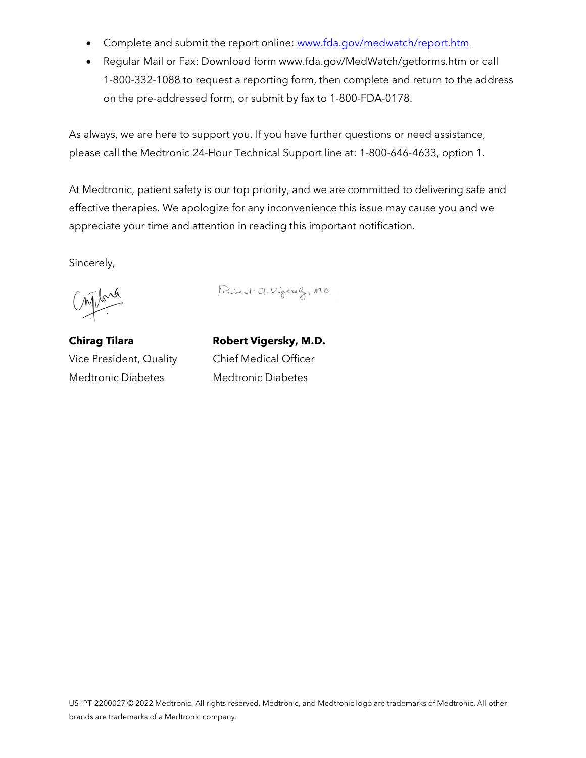- Complete and submit the report online: [www.fda.gov/medwatch/report.htm](http://www.fda.gov/medwatch/report.htm)
- Regular Mail or Fax: Download form www.fda.gov/MedWatch/getforms.htm or call 1-800-332-1088 to request a reporting form, then complete and return to the address on the pre-addressed form, or submit by fax to 1-800-FDA-0178.

As always, we are here to support you. If you have further questions or need assistance, please call the Medtronic 24-Hour Technical Support line at: 1-800-646-4633, option 1.

At Medtronic, patient safety is our top priority, and we are committed to delivering safe and effective therapies. We apologize for any inconvenience this issue may cause you and we appreciate your time and attention in reading this important notification.

Sincerely,

Content

Robert a. Vigersly, M.D.

**Chirag Tilara** Vice President, Quality Medtronic Diabetes

**Robert Vigersky, M.D.** Chief Medical Officer Medtronic Diabetes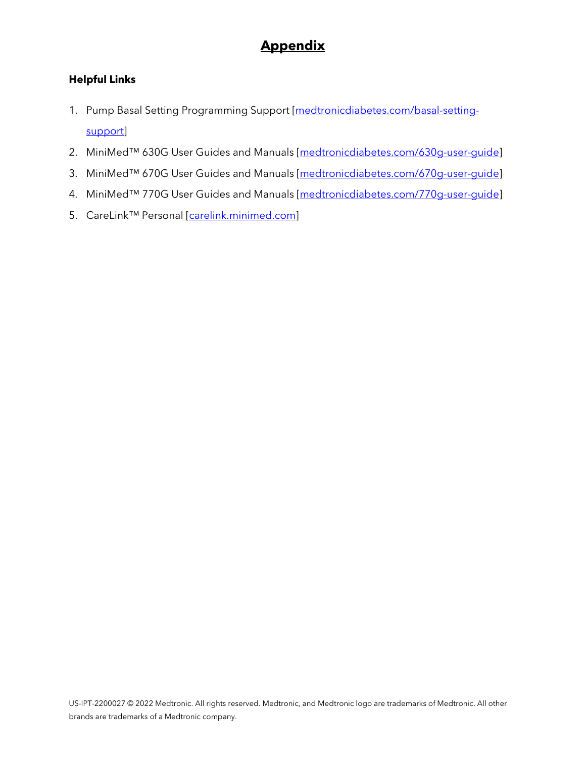# **Appendix**

### **Helpful Links**

- 1. Pump Basal Setting Programming Support [\[medtronicdiabetes.com/basal-setting](https://medtronicdiabetes.com/basal-setting-support)[support\]](https://medtronicdiabetes.com/basal-setting-support)
- 2. MiniMed™ 630G User Guides and Manuals [\[medtronicdiabetes.com/630g-user-guide\]](http://www.medtronicdiabetes.com/630g-user-guide)
- 3. MiniMed™ 670G User Guides and Manuals [\[medtronicdiabetes.com/670g-user-guide\]](http://www.medtronicdiabetes.com/670g-user-guide)
- 4. MiniMed™ 770G User Guides and Manuals [\[medtronicdiabetes.com/770g-user-guide\]](http://www.medtronicdiabetes.com/770g-user-guide)
- 5. CareLink™ Personal [\[carelink.minimed.com\]](http://carelink.minimed.com/)